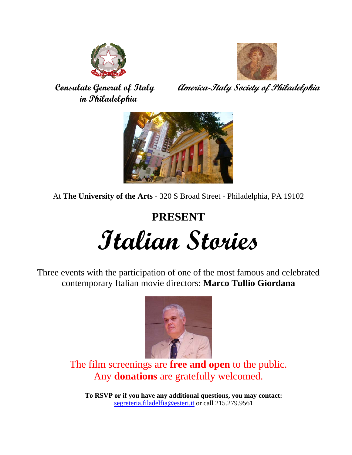



 **in Philadelphia** 

 **Consulate General of Italy** *America-Italy Society of Philadelphia* 



At **The University of the Arts** - 320 S Broad Street - Philadelphia, PA 19102

# **PRESENT Italian Stories**

Three events with the participation of one of the most famous and celebrated contemporary Italian movie directors: **Marco Tullio Giordana** 



The film screenings are **free and open** to the public. Any **donations** are gratefully welcomed.

**To RSVP or if you have any additional questions, you may contact:**  segreteria.filadelfia@esteri.it or call 215.279.9561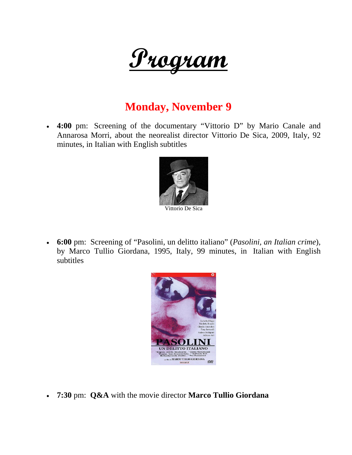

#### **Monday, November 9**

 **4:00** pm: Screening of the documentary "Vittorio D" by Mario Canale and Annarosa Morri, about the neorealist director Vittorio De Sica, 2009, Italy, 92 minutes, in Italian with English subtitles



 **6:00** pm: Screening of "Pasolini, un delitto italiano" (*Pasolini, an Italian crime*), by Marco Tullio Giordana, 1995, Italy, 99 minutes, in Italian with English subtitles



**7:30** pm: **Q&A** with the movie director **Marco Tullio Giordana**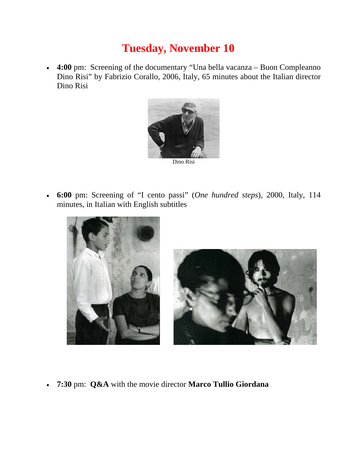## **Tuesday, November 10**

 **4:00** pm: Screening of the documentary "Una bella vacanza – Buon Compleanno Dino Risi" by Fabrizio Corallo, 2006, Italy, 65 minutes about the Italian director Dino Risi



Dino Risi

 **6:00** pm: Screening of "I cento passi" (*One hundred steps*), 2000, Italy, 114 minutes, in Italian with English subtitles



**7:30** pm: **Q&A** with the movie director **Marco Tullio Giordana**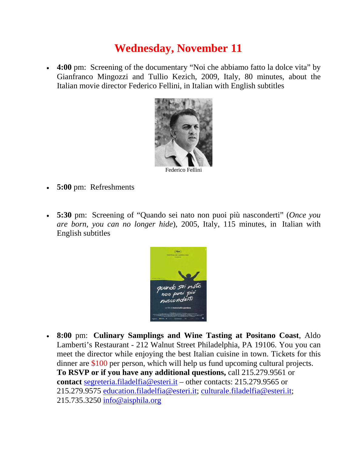## **Wednesday, November 11**

 **4:00** pm: Screening of the documentary "Noi che abbiamo fatto la dolce vita" by Gianfranco Mingozzi and Tullio Kezich, 2009, Italy, 80 minutes, about the Italian movie director Federico Fellini, in Italian with English subtitles



Federico Fellini

- **5:00** pm: Refreshments
- **5:30** pm: Screening of "Quando sei nato non puoi più nasconderti" (*Once you are born, you can no longer hide*), 2005, Italy, 115 minutes, in Italian with English subtitles



 **8:00** pm: **Culinary Samplings and Wine Tasting at Positano Coast**, Aldo Lamberti's Restaurant - 212 Walnut Street Philadelphia, PA 19106. You you can meet the director while enjoying the best Italian cuisine in town. Tickets for this dinner are \$100 per person, which will help us fund upcoming cultural projects. **To RSVP or if you have any additional questions,** call 215.279.9561 or **contact** segreteria.filadelfia@esteri.it – other contacts: 215.279.9565 or 215.279.9575 education.filadelfia@esteri.it; culturale.filadelfia@esteri.it; 215.735.3250 info@aisphila.org